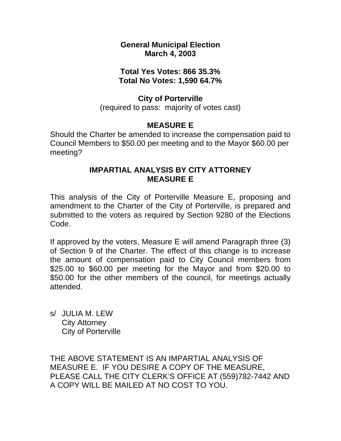## **General Municipal Election March 4, 2003**

# **Total Yes Votes: 866 35.3% Total No Votes: 1,590 64.7%**

## **City of Porterville**

(required to pass: majority of votes cast)

# **MEASURE E**

Should the Charter be amended to increase the compensation paid to Council Members to \$50.00 per meeting and to the Mayor \$60.00 per meeting?

# **IMPARTIAL ANALYSIS BY CITY ATTORNEY MEASURE E**

This analysis of the City of Porterville Measure E, proposing and amendment to the Charter of the City of Porterville, is prepared and submitted to the voters as required by Section 9280 of the Elections Code.

If approved by the voters, Measure E will amend Paragraph three (3) of Section 9 of the Charter. The effect of this change is to increase the amount of compensation paid to City Council members from \$25.00 to \$60.00 per meeting for the Mayor and from \$20.00 to \$50.00 for the other members of the council, for meetings actually attended.

s/ JULIA M. LEW City Attorney City of Porterville

THE ABOVE STATEMENT IS AN IMPARTIAL ANALYSIS OF MEASURE E. IF YOU DESIRE A COPY OF THE MEASURE, PLEASE CALL THE CITY CLERK'S OFFICE AT (559)782-7442 AND A COPY WILL BE MAILED AT NO COST TO YOU.